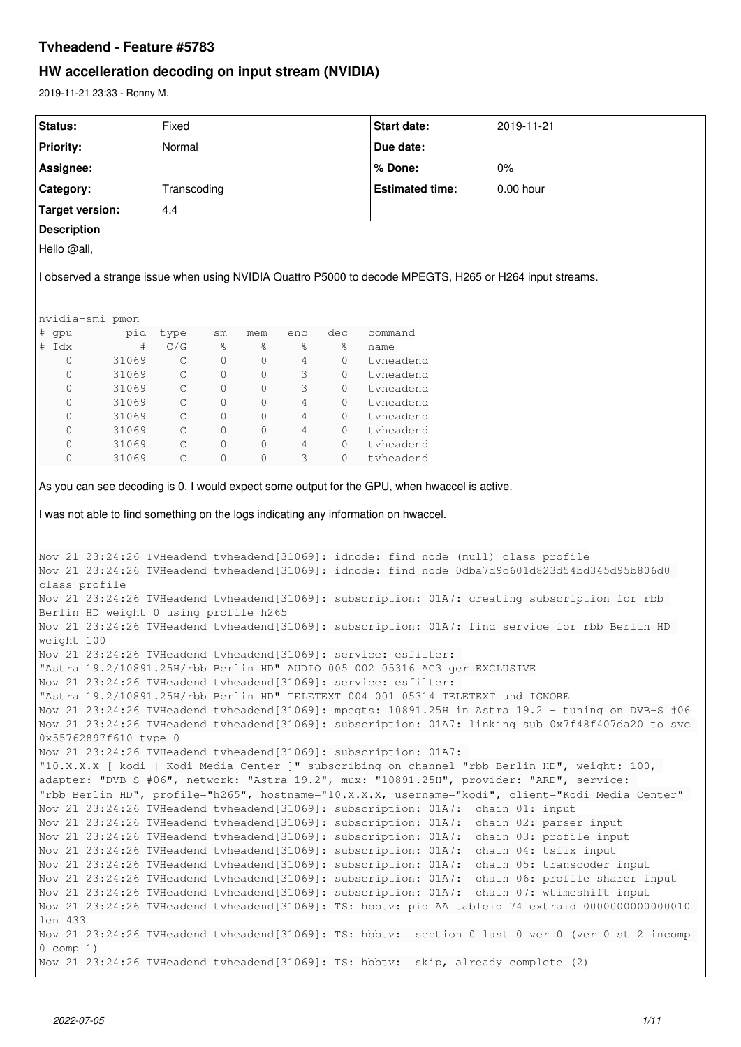# **Tvheadend - Feature #5783**

# **HW accelleration decoding on input stream (NVIDIA)**

2019-11-21 23:33 - Ronny M.

| Status:                               |       | Fixed        |                |             |     |         | Start date:                                                                                                                                                                          | 2019-11-21                                                                                         |
|---------------------------------------|-------|--------------|----------------|-------------|-----|---------|--------------------------------------------------------------------------------------------------------------------------------------------------------------------------------------|----------------------------------------------------------------------------------------------------|
| Priority:                             |       | Normal       |                |             |     |         | Due date:                                                                                                                                                                            |                                                                                                    |
| Assignee:                             |       |              |                |             |     |         | % Done:                                                                                                                                                                              | 0%                                                                                                 |
| Category:                             |       | Transcoding  |                |             |     |         | <b>Estimated time:</b>                                                                                                                                                               | 0.00 hour                                                                                          |
|                                       |       |              |                |             |     |         |                                                                                                                                                                                      |                                                                                                    |
| <b>Target version:</b>                |       | 4.4          |                |             |     |         |                                                                                                                                                                                      |                                                                                                    |
| <b>Description</b>                    |       |              |                |             |     |         |                                                                                                                                                                                      |                                                                                                    |
| Hello @all,                           |       |              |                |             |     |         |                                                                                                                                                                                      |                                                                                                    |
|                                       |       |              |                |             |     |         | I observed a strange issue when using NVIDIA Quattro P5000 to decode MPEGTS, H265 or H264 input streams.                                                                             |                                                                                                    |
| nvidia-smi pmon                       |       |              |                |             |     |         |                                                                                                                                                                                      |                                                                                                    |
| # gpu                                 | pid   | type         | sm             | mem         | enc | dec     | command                                                                                                                                                                              |                                                                                                    |
| # Idx                                 | #     | C/G          | %              | ႜ           | နွ  | န့      | name                                                                                                                                                                                 |                                                                                                    |
| 0                                     | 31069 | $\mathsf{C}$ | 0              | 0           | 4   | 0       | tvheadend                                                                                                                                                                            |                                                                                                    |
| 0                                     | 31069 | C            | $\circ$        | $\circ$     | 3   | 0       | tvheadend                                                                                                                                                                            |                                                                                                    |
| 0                                     | 31069 | $\mathsf{C}$ | $\circ$        | $\circ$     | 3   | 0       | tvheadend                                                                                                                                                                            |                                                                                                    |
| 0                                     | 31069 | $\mathsf{C}$ | $\circ$        | $\circ$     | 4   | 0       | tyheadend                                                                                                                                                                            |                                                                                                    |
| 0                                     | 31069 | $\mathsf{C}$ | 0              | 0           | 4   | 0       | tyheadend                                                                                                                                                                            |                                                                                                    |
| 0                                     | 31069 | $\mathsf C$  | $\circ$        | 0           | 4   | $\circ$ | tvheadend                                                                                                                                                                            |                                                                                                    |
| 0                                     | 31069 | $\mathsf C$  | 0              | 0           | 4   | 0       | tvheadend                                                                                                                                                                            |                                                                                                    |
| 0                                     | 31069 | $\mathsf{C}$ | $\overline{0}$ | $\mathbf 0$ | 3   | $\circ$ | tvheadend                                                                                                                                                                            |                                                                                                    |
|                                       |       |              |                |             |     |         | As you can see decoding is 0. I would expect some output for the GPU, when hwaccel is active.<br>I was not able to find something on the logs indicating any information on hwaccel. |                                                                                                    |
|                                       |       |              |                |             |     |         | Nov 21 23:24:26 TVHeadend tvheadend [31069]: idnode: find node (null) class profile                                                                                                  |                                                                                                    |
|                                       |       |              |                |             |     |         |                                                                                                                                                                                      | Nov 21 23:24:26 TVHeadend tvheadend [31069]: idnode: find node 0dba7d9c601d823d54bd345d95b806d0    |
| class profile                         |       |              |                |             |     |         |                                                                                                                                                                                      |                                                                                                    |
|                                       |       |              |                |             |     |         |                                                                                                                                                                                      | Nov 21 23:24:26 TVHeadend tvheadend [31069]: subscription: 01A7: creating subscription for rbb     |
| Berlin HD weight 0 using profile h265 |       |              |                |             |     |         |                                                                                                                                                                                      |                                                                                                    |
|                                       |       |              |                |             |     |         |                                                                                                                                                                                      | Nov 21 23:24:26 TVHeadend tvheadend [31069]: subscription: 01A7: find service for rbb Berlin HD    |
| weight 100                            |       |              |                |             |     |         |                                                                                                                                                                                      |                                                                                                    |
|                                       |       |              |                |             |     |         | Nov 21 23:24:26 TVHeadend tvheadend [31069]: service: esfilter:                                                                                                                      |                                                                                                    |
|                                       |       |              |                |             |     |         | "Astra 19.2/10891.25H/rbb Berlin HD" AUDIO 005 002 05316 AC3 ger EXCLUSIVE                                                                                                           |                                                                                                    |
|                                       |       |              |                |             |     |         | Nov 21 23:24:26 TVHeadend tvheadend [31069]: service: esfilter:                                                                                                                      |                                                                                                    |
|                                       |       |              |                |             |     |         | "Astra 19.2/10891.25H/rbb Berlin HD" TELETEXT 004 001 05314 TELETEXT und IGNORE                                                                                                      |                                                                                                    |
|                                       |       |              |                |             |     |         |                                                                                                                                                                                      | Nov 21 23:24:26 TVHeadend tvheadend[31069]: mpegts: 10891.25H in Astra 19.2 - tuning on DVB-S #06  |
|                                       |       |              |                |             |     |         |                                                                                                                                                                                      | Nov 21 23:24:26 TVHeadend tvheadend [31069]: subscription: 01A7: linking sub 0x7f48f407da20 to svc |
| 0x55762897f610 type 0                 |       |              |                |             |     |         |                                                                                                                                                                                      |                                                                                                    |
|                                       |       |              |                |             |     |         | Nov 21 23:24:26 TVHeadend tvheadend [31069]: subscription: 01A7:                                                                                                                     |                                                                                                    |
|                                       |       |              |                |             |     |         |                                                                                                                                                                                      | "10.X.X.X [ kodi   Kodi Media Center ]" subscribing on channel "rbb Berlin HD", weight: 100,       |
|                                       |       |              |                |             |     |         |                                                                                                                                                                                      | adapter: "DVB-S #06", network: "Astra 19.2", mux: "10891.25H", provider: "ARD", service:           |
|                                       |       |              |                |             |     |         |                                                                                                                                                                                      | "rbb Berlin HD", profile="h265", hostname="10.X.X.X, username="kodi", client="Kodi Media Center"   |
|                                       |       |              |                |             |     |         | Nov 21 23:24:26 TVHeadend tvheadend [31069]: subscription: 01A7: chain 01: input                                                                                                     |                                                                                                    |
|                                       |       |              |                |             |     |         | Nov 21 23:24:26 TVHeadend tvheadend [31069]: subscription: 01A7:                                                                                                                     | chain 02: parser input                                                                             |
|                                       |       |              |                |             |     |         | Nov 21 23:24:26 TVHeadend tvheadend [31069]: subscription: 01A7:                                                                                                                     | chain 03: profile input                                                                            |
|                                       |       |              |                |             |     |         | Nov 21 23:24:26 TVHeadend tvheadend [31069]: subscription: 01A7:                                                                                                                     | chain 04: tsfix input                                                                              |
|                                       |       |              |                |             |     |         | Nov 21 23:24:26 TVHeadend tvheadend [31069]: subscription: 01A7:                                                                                                                     | chain 05: transcoder input                                                                         |
|                                       |       |              |                |             |     |         |                                                                                                                                                                                      |                                                                                                    |
|                                       |       |              |                |             |     |         |                                                                                                                                                                                      | Nov 21 23:24:26 TVHeadend tvheadend [31069]: subscription: 01A7: chain 06: profile sharer input    |
|                                       |       |              |                |             |     |         |                                                                                                                                                                                      | Nov 21 23:24:26 TVHeadend tvheadend [31069]: subscription: 01A7: chain 07: wtimeshift input        |
|                                       |       |              |                |             |     |         |                                                                                                                                                                                      | Nov 21 23:24:26 TVHeadend tvheadend[31069]: TS: hbbtv: pid AA tableid 74 extraid 0000000000000010  |
| len 433                               |       |              |                |             |     |         |                                                                                                                                                                                      |                                                                                                    |
|                                       |       |              |                |             |     |         |                                                                                                                                                                                      | Nov 21 23:24:26 TVHeadend tvheadend[31069]: TS: hbbtv: section 0 last 0 ver 0 (ver 0 st 2 incomp   |
| $0$ comp $1)$                         |       |              |                |             |     |         |                                                                                                                                                                                      |                                                                                                    |
|                                       |       |              |                |             |     |         | Nov 21 23:24:26 TVHeadend tvheadend [31069]: TS: hbbtv: skip, already complete (2)                                                                                                   |                                                                                                    |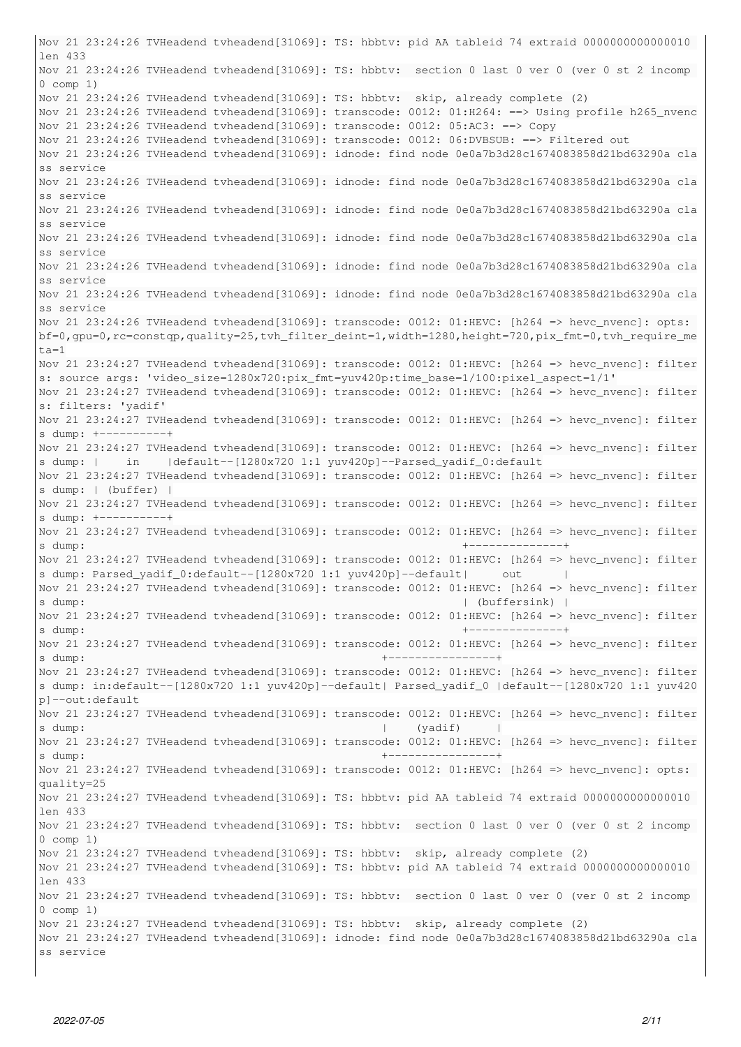Nov 21 23:24:26 TVHeadend tvheadend[31069]: TS: hbbtv: pid AA tableid 74 extraid 0000000000000010 len 433 Nov 21 23:24:26 TVHeadend tvheadend[31069]: TS: hbbtv: section 0 last 0 ver 0 (ver 0 st 2 incomp 0 comp 1) Nov 21 23:24:26 TVHeadend tvheadend[31069]: TS: hbbtv: skip, already complete (2) Nov 21 23:24:26 TVHeadend tvheadend [31069]: transcode: 0012: 01:H264: ==> Using profile h265\_nvenc Nov 21 23:24:26 TVHeadend tvheadend[31069]: transcode: 0012: 05:AC3: ==> Copy Nov 21 23:24:26 TVHeadend tvheadend[31069]: transcode: 0012: 06:DVBSUB: ==> Filtered out Nov 21 23:24:26 TVHeadend tvheadend[31069]: idnode: find node 0e0a7b3d28c1674083858d21bd63290a cla ss service Nov 21 23:24:26 TVHeadend tvheadend[31069]: idnode: find node 0e0a7b3d28c1674083858d21bd63290a cla ss service Nov 21 23:24:26 TVHeadend tvheadend[31069]: idnode: find node 0e0a7b3d28c1674083858d21bd63290a cla ss service Nov 21 23:24:26 TVHeadend tvheadend[31069]: idnode: find node 0e0a7b3d28c1674083858d21bd63290a cla ss service Nov 21 23:24:26 TVHeadend tvheadend[31069]: idnode: find node 0e0a7b3d28c1674083858d21bd63290a cla ss service Nov 21 23:24:26 TVHeadend tvheadend[31069]: idnode: find node 0e0a7b3d28c1674083858d21bd63290a cla ss service Nov 21 23:24:26 TVHeadend tvheadend [31069]: transcode: 0012: 01:HEVC: [h264 => hevc\_nvenc]: opts: bf=0,gpu=0,rc=constqp,quality=25,tvh\_filter\_deint=1,width=1280,height=720,pix\_fmt=0,tvh\_require\_me  $t.a=1$ Nov 21 23:24:27 TVHeadend tvheadend [31069]: transcode: 0012: 01:HEVC: [h264 => hevc\_nvenc]: filter s: source args: 'video\_size=1280x720:pix\_fmt=yuv420p:time\_base=1/100:pixel\_aspect=1/1' Nov 21 23:24:27 TVHeadend tvheadend[31069]: transcode: 0012: 01:HEVC: [h264 => hevc\_nvenc]: filter s: filters: 'yadif' Nov 21 23:24:27 TVHeadend tvheadend[31069]: transcode: 0012: 01:HEVC: [h264 => hevc\_nvenc]: filter s dump: +----------+ Nov 21 23:24:27 TVHeadend tvheadend[31069]: transcode: 0012: 01:HEVC: [h264 => hevc\_nvenc]: filter s dump: | in |default--[1280x720 1:1 yuv420p]--Parsed\_yadif\_0:default Nov 21 23:24:27 TVHeadend tvheadend[31069]: transcode: 0012: 01:HEVC: [h264 => hevc\_nvenc]: filter s dump: | (buffer) | Nov 21 23:24:27 TVHeadend tvheadend[31069]: transcode: 0012: 01:HEVC: [h264 => hevc\_nvenc]: filter s dump: +----------+ Nov 21 23:24:27 TVHeadend tvheadend[31069]: transcode: 0012: 01:HEVC: [h264 => hevc\_nvenc]: filter s dump: +--------------+ Nov 21 23:24:27 TVHeadend tvheadend[31069]: transcode: 0012: 01:HEVC: [h264 => hevc\_nvenc]: filter s dump: Parsed\_yadif\_0:default--[1280x720 1:1 yuv420p]--default| out | Nov 21 23:24:27 TVHeadend tvheadend[31069]: transcode: 0012: 01:HEVC: [h264 => hevc\_nvenc]: filter s dump: (buffersink) | Nov 21 23:24:27 TVHeadend tvheadend[31069]: transcode: 0012: 01:HEVC: [h264 => hevc\_nvenc]: filter s dump: +--------------+ Nov 21 23:24:27 TVHeadend tvheadend[31069]: transcode: 0012: 01:HEVC: [h264 => hevc\_nvenc]: filter s dump: +----------------+ Nov 21 23:24:27 TVHeadend tvheadend[31069]: transcode: 0012: 01:HEVC: [h264 => hevc\_nvenc]: filter s dump: in:default--[1280x720 1:1 yuv420p]--default| Parsed\_yadif\_0 |default--[1280x720 1:1 yuv420 p]--out:default Nov 21 23:24:27 TVHeadend tvheadend[31069]: transcode: 0012: 01:HEVC: [h264 => hevc\_nvenc]: filter s dump: | (yadif) | Nov 21 23:24:27 TVHeadend tvheadend[31069]: transcode: 0012: 01:HEVC: [h264 => hevc\_nvenc]: filter s dump: +----------------+ Nov 21 23:24:27 TVHeadend tvheadend[31069]: transcode: 0012: 01:HEVC: [h264 => hevc\_nvenc]: opts: quality=25 Nov 21 23:24:27 TVHeadend tvheadend[31069]: TS: hbbtv: pid AA tableid 74 extraid 0000000000000010 len 433 Nov 21 23:24:27 TVHeadend tvheadend[31069]: TS: hbbtv: section 0 last 0 ver 0 (ver 0 st 2 incomp 0 comp 1) Nov 21 23:24:27 TVHeadend tvheadend[31069]: TS: hbbtv: skip, already complete (2) Nov 21 23:24:27 TVHeadend tvheadend[31069]: TS: hbbtv: pid AA tableid 74 extraid 0000000000000010 len 433 Nov 21 23:24:27 TVHeadend tvheadend[31069]: TS: hbbtv: section 0 last 0 ver 0 (ver 0 st 2 incomp 0 comp 1) Nov 21 23:24:27 TVHeadend tvheadend[31069]: TS: hbbtv: skip, already complete (2) Nov 21 23:24:27 TVHeadend tvheadend[31069]: idnode: find node 0e0a7b3d28c1674083858d21bd63290a cla ss service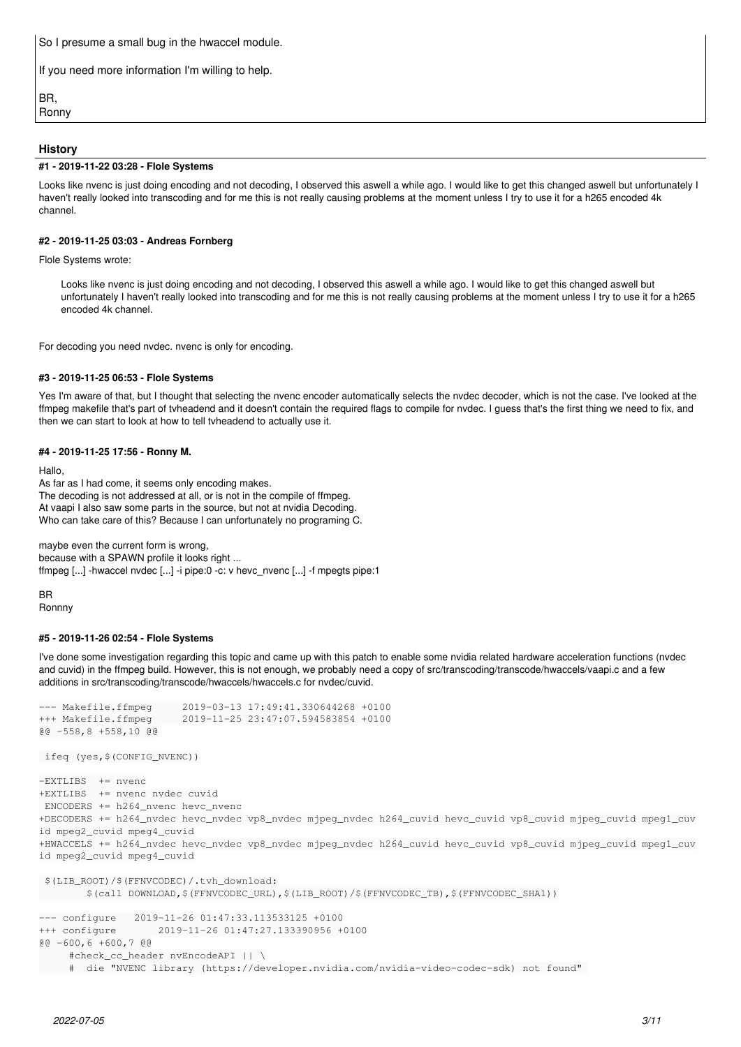So I presume a small bug in the hwaccel module.

If you need more information I'm willing to help.

BR, Ronny

# **History**

#### **#1 - 2019-11-22 03:28 - Flole Systems**

Looks like nvenc is just doing encoding and not decoding, I observed this aswell a while ago. I would like to get this changed aswell but unfortunately I haven't really looked into transcoding and for me this is not really causing problems at the moment unless I try to use it for a h265 encoded 4k channel.

### **#2 - 2019-11-25 03:03 - Andreas Fornberg**

Flole Systems wrote:

Looks like nvenc is just doing encoding and not decoding, I observed this aswell a while ago. I would like to get this changed aswell but unfortunately I haven't really looked into transcoding and for me this is not really causing problems at the moment unless I try to use it for a h265 encoded 4k channel.

For decoding you need nvdec. nvenc is only for encoding.

#### **#3 - 2019-11-25 06:53 - Flole Systems**

Yes I'm aware of that, but I thought that selecting the nvenc encoder automatically selects the nvdec decoder, which is not the case. I've looked at the ffmpeg makefile that's part of tvheadend and it doesn't contain the required flags to compile for nvdec. I guess that's the first thing we need to fix, and then we can start to look at how to tell tvheadend to actually use it.

#### **#4 - 2019-11-25 17:56 - Ronny M.**

Hallo,

As far as I had come, it seems only encoding makes. The decoding is not addressed at all, or is not in the compile of ffmpeg. At vaapi I also saw some parts in the source, but not at nvidia Decoding. Who can take care of this? Because I can unfortunately no programing C.

maybe even the current form is wrong, because with a SPAWN profile it looks right ... ffmpeg [...] -hwaccel nvdec [...] -i pipe:0 -c: v hevc\_nvenc [...] -f mpegts pipe:1

**BR** Ronnny

#### **#5 - 2019-11-26 02:54 - Flole Systems**

I've done some investigation regarding this topic and came up with this patch to enable some nvidia related hardware acceleration functions (nvdec and cuvid) in the ffmpeg build. However, this is not enough, we probably need a copy of src/transcoding/transcode/hwaccels/vaapi.c and a few additions in src/transcoding/transcode/hwaccels/hwaccels.c for nvdec/cuvid.

```
--- Makefile.ffmpeg     2019-03-13 17:49:41.330644268 +0100
+++ Makefile.ffmpeg     2019-11-25 23:47:07.594583854 +0100
@@ -558,8 +558,10 @@
```

```
 ifeq (yes,$(CONFIG_NVENC))
```

```
-EXTLIBS  += nvenc
+EXTLIBS  += nvenc nvdec cuvid
 ENCODERS += h264_nvenc hevc_nvenc
+DECODERS += h264_nvdec hevc_nvdec vp8_nvdec mjpeg_nvdec h264_cuvid hevc_cuvid vp8_cuvid mjpeg_cuvid mpeg1_cuv
id mpeg2_cuvid mpeg4_cuvid
+HWACCELS += h264_nvdec hevc_nvdec vp8_nvdec mjpeg_nvdec h264_cuvid hevc_cuvid vp8_cuvid mjpeg_cuvid mpeg1_cuv
id mpeg2_cuvid mpeg4_cuvid
```

```
 $(LIB_ROOT)/$(FFNVCODEC)/.tvh_download:
                $(call DOWNLOAD,$(FFNVCODEC_URL),$(LIB_ROOT)/$(FFNVCODEC_TB),$(FFNVCODEC_SHA1))
--- configure   2019-11-26 01:47:33.113533125 +0100
+++ configure       2019-11-26 01:47:27.133390956 +0100
@@ -600,6 +600,7 @@
          #check_cc_header nvEncodeAPI || \
```
# die "NVENC library (https://developer.nvidia.com/nvidia-video-codec-sdk) not found"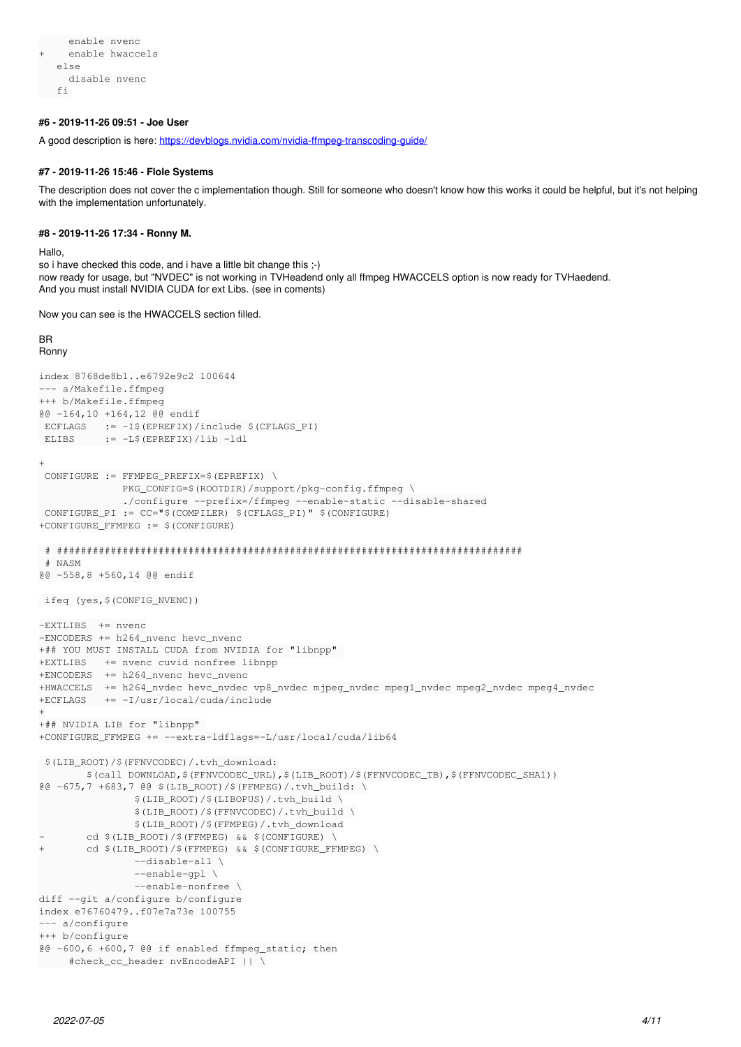```
     enable nvenc
+    enable hwaccels
      else
          disable nvenc
  fi
```
# **#6 - 2019-11-26 09:51 - Joe User**

A good description is here:<https://devblogs.nvidia.com/nvidia-ffmpeg-transcoding-guide/>

# **#7 - 2019-11-26 15:46 - Flole Systems**

The description does not cover the c implementation though. Still for someone who doesn't know how this works it could be helpful, but it's not helping with the implementation unfortunately.

#### **#8 - 2019-11-26 17:34 - Ronny M.**

Hallo,

so i have checked this code, and i have a little bit change this ;-) now ready for usage, but "NVDEC" is not working in TVHeadend only all ffmpeg HWACCELS option is now ready for TVHaedend. And you must install NVIDIA CUDA for ext Libs. (see in coments)

Now you can see is the HWACCELS section filled.

#### BR Ronny

```
index 8768de8b1..e6792e9c2 100644
--- a/Makefile.ffmpeg
+++ b/Makefile.ffmpeg
@@ -164,10 +164,12 @@ endif
 ECFLAGS := -I \ (EPREFIX) / include \ (CFLAGS_PI)
 ELIBS := -L \S(\text{EPREFIX}) / \text{lib -ldl}+
 CONFIGURE := FFMPEG PREFIX=$(EPREFIX) \
               PKG_CONFIG=$(ROOTDIR)/support/pkg-config.ffmpeg \
                              ./configure --prefix=/ffmpeg --enable-static --disable-shared
  CONFIGURE_PI := CC="$(COMPILER) $(CFLAGS_PI)" $(CONFIGURE)
+CONFIGURE_FFMPEG := $(CONFIGURE)
  # ##############################################################################
  # NASM
@@ -558,8 +560,14 @@ endif
 ifeq (yes,$(CONFIG_NVENC))
-EXTLIBS  += nvenc
-ENCODERS += h264_nvenc hevc_nvenc
+## YOU MUST INSTALL CUDA from NVIDIA for "libnpp" 
+EXTLIBS   += nvenc cuvid nonfree libnpp
+ENCODERS  += h264_nvenc hevc_nvenc
+HWACCELS  += h264_nvdec hevc_nvdec vp8_nvdec mjpeg_nvdec mpeg1_nvdec mpeg2_nvdec mpeg4_nvdec
+ECFLAGS   += -I/usr/local/cuda/include
+
+## NVIDIA LIB for "libnpp" 
+CONFIGURE_FFMPEG += --extra-ldflags=-L/usr/local/cuda/lib64
  $(LIB_ROOT)/$(FFNVCODEC)/.tvh_download:
                 $(call DOWNLOAD,$(FFNVCODEC_URL),$(LIB_ROOT)/$(FFNVCODEC_TB),$(FFNVCODEC_SHA1))
@@ -675,7 +683,7 @@ $(LIB_ROOT)/$(FFMPEG)/.tvh_build: \
                                 $(LIB_ROOT)/$(LIBOPUS)/.tvh_build \
                                 $(LIB_ROOT)/$(FFNVCODEC)/.tvh_build \
                                 $(LIB_ROOT)/$(FFMPEG)/.tvh_download
         cd $(LIB_ROOT)/$(FFMPEG) && $(CONFIGURE) \
+       cd $(LIB_ROOT)/$(FFMPEG) && $(CONFIGURE_FFMPEG) \
                                  --disable-all \
                                 --enable-gpl \
                                  --enable-nonfree \
diff --git a/configure b/configure
index e76760479..f07e7a73e 100755
--- a/configure
+++ b/configure
@@ -600,6 +600,7 @@ if enabled ffmpeg_static; then
         #check_cc_header nvEncodeAPI || \
```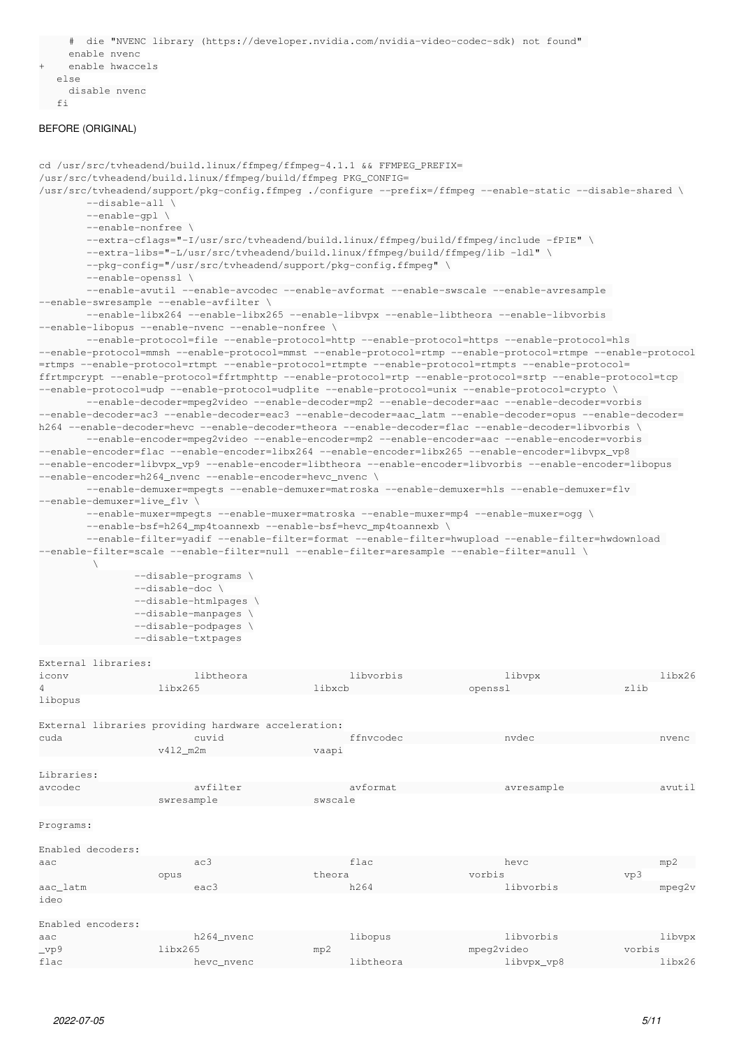```
     #  die "NVENC library (https://developer.nvidia.com/nvidia-video-codec-sdk) not found" 
       enable nvenc
  enable hwaccels
   else
       disable nvenc
f_i
```
# BEFORE (ORIGINAL)

```
cd /usr/src/tvheadend/build.linux/ffmpeg/ffmpeg-4.1.1 && FFMPEG_PREFIX=
/usr/src/tvheadend/build.linux/ffmpeg/build/ffmpeg PKG_CONFIG=
/usr/src/tvheadend/support/pkg-config.ffmpeg ./configure --prefix=/ffmpeg --enable-static --disable-shared \
                 --disable-all \
                --enable-gpl \
                --enable-nonfree \
                --extra-cflags="-I/usr/src/tvheadend/build.linux/ffmpeg/build/ffmpeg/include -fPIE" \
                --extra-libs="-L/usr/src/tvheadend/build.linux/ffmpeg/build/ffmpeg/lib -ldl" \
                --pkg-config="/usr/src/tvheadend/support/pkg-config.ffmpeg" \
                --enable-openssl \
                --enable-avutil --enable-avcodec --enable-avformat --enable-swscale --enable-avresample
--enable-swresample --enable-avfilter \
                 --enable-libx264 --enable-libx265 --enable-libvpx --enable-libtheora --enable-libvorbis
--enable-libopus --enable-nvenc --enable-nonfree \
         --enable-protocol=file --enable-protocol=http --enable-protocol=https --enable-protocol=hls
--enable-protocol=mmsh --enable-protocol=mmst --enable-protocol=rtmp --enable-protocol=rtmpe --enable-protocol
=rtmps --enable-protocol=rtmpt --enable-protocol=rtmpte --enable-protocol=rtmpts --enable-protocol=
ffrtmpcrypt --enable-protocol=ffrtmphttp --enable-protocol=rtp --enable-protocol=srtp --enable-protocol=tcp 
--enable-protocol=udp --enable-protocol=udplite --enable-protocol=unix --enable-protocol=crypto \
                 --enable-decoder=mpeg2video --enable-decoder=mp2 --enable-decoder=aac --enable-decoder=vorbis 
--enable-decoder=ac3 --enable-decoder=eac3 --enable-decoder=aac_latm --enable-decoder=opus --enable-decoder=
h264 --enable-decoder=hevc --enable-decoder=theora --enable-decoder=flac --enable-decoder=libvorbis \
                 --enable-encoder=mpeg2video --enable-encoder=mp2 --enable-encoder=aac --enable-encoder=vorbis 
--enable-encoder=flac --enable-encoder=libx264 --enable-encoder=libx265 --enable-encoder=libvpx_vp8 
--enable-encoder=libvpx_vp9 --enable-encoder=libtheora --enable-encoder=libvorbis --enable-encoder=libopus 
--enable-encoder=h264_nvenc --enable-encoder=hevc_nvenc \
                  --enable-demuxer=mpegts --enable-demuxer=matroska --enable-demuxer=hls --enable-demuxer=flv 
--enable-demuxer=live_flv \
                 --enable-muxer=mpegts --enable-muxer=matroska --enable-muxer=mp4 --enable-muxer=ogg \
        --enable-bsf=h264_mp4toannexb --enable-bsf=hevc_mp4toannexb \
                --enable-filter=yadif --enable-filter=format --enable-filter=hwupload --enable-filter=hwdownload 
--enable-filter=scale --enable-filter=null --enable-filter=aresample --enable-filter=anull \
\mathcal{N}=\mathcal{N}                --disable-programs \
                                 --disable-doc \
                                 --disable-htmlpages \
                                 --disable-manpages \
                                 --disable-podpages \
                                 --disable-txtpages
External libraries:
iconv                     libtheora                 libvorbis                 libvpx                    libx26
4                   libx265                   libxcb                    openssl                   zlib
libopus
External libraries providing hardware acceleration:
cuda                      cuvid                     ffnvcodec                 nvdec                     nvenc 
                                         v4l2_m2m                  vaapi
Libraries:
avcodec                   avfilter                  avformat                  avresample                avutil
```

```
Programs:
```

| Enabled decoders: |            |           |            |              |
|-------------------|------------|-----------|------------|--------------|
| aac               | ac3        | flac      | hevc       | mp2          |
|                   | opus       | theora    | vorbis     | vp3          |
| aac_latm          | eac3       | h264      | libvorbis  | $m$ peq $2v$ |
| ideo              |            |           |            |              |
|                   |            |           |            |              |
| Enabled encoders: |            |           |            |              |
| aac               | h264 nvenc | libopus   | libvorbis  | libvpx       |
| $_{\rm vpg}$      | libx265    | mp2       | mpeg2video | vorbis       |
| flac              | hevc nvenc | libtheora | libvpx_vp8 | libx26       |

swresample swscale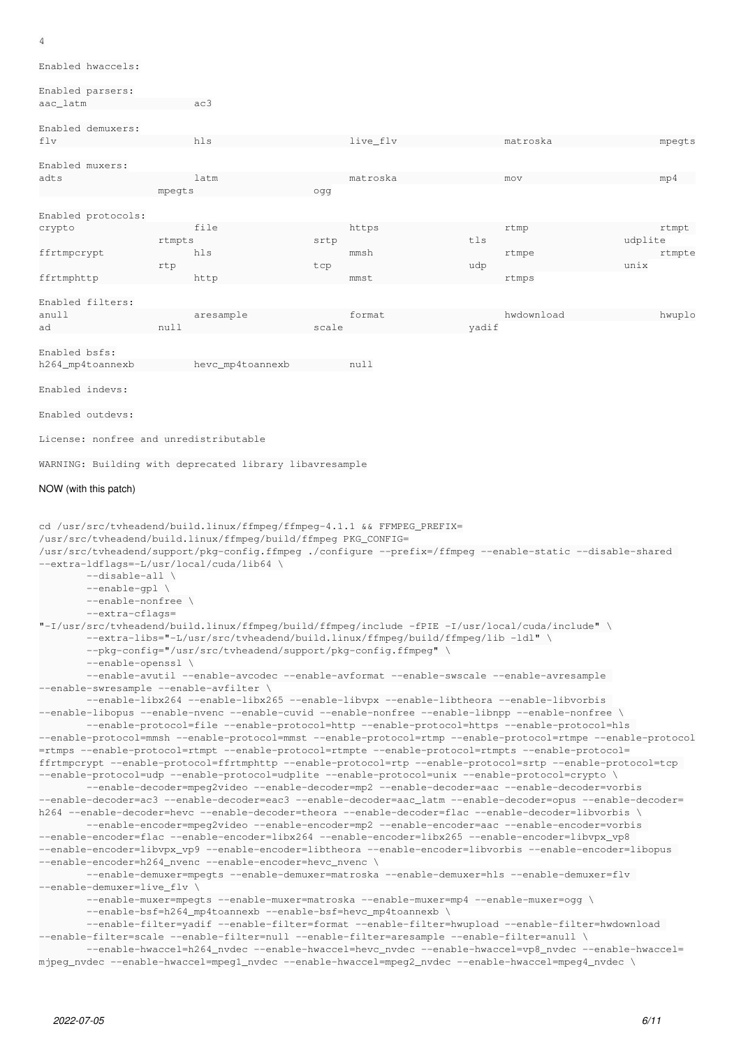#### 4

Enabled hwaccels:

# Enabled parsers:

aac\_latm ac3

| Enabled demuxers:     |                                                         |       |          |       |            |         |        |
|-----------------------|---------------------------------------------------------|-------|----------|-------|------------|---------|--------|
| flv                   | hls                                                     |       | live_flv |       | matroska   |         | mpegts |
|                       |                                                         |       |          |       |            |         |        |
| Enabled muxers:       |                                                         |       |          |       |            |         |        |
| adts                  | latm                                                    |       | matroska |       | mov        |         | mp4    |
|                       | mpegts                                                  | odd   |          |       |            |         |        |
|                       |                                                         |       |          |       |            |         |        |
| Enabled protocols:    |                                                         |       |          |       |            |         |        |
| crypto                | file                                                    |       | https    |       | rtmp       |         | rtmpt  |
|                       | rtmpts                                                  | srtp  |          | tls   |            | udplite |        |
| ffrtmpcrypt           | hls                                                     |       | mmsh     |       | rtmpe      |         | rtmpte |
|                       | rtp                                                     | tcp   |          | udp   |            | unix    |        |
| ffrtmphttp            | http                                                    |       | mmst     |       | rtmps      |         |        |
|                       |                                                         |       |          |       |            |         |        |
| Enabled filters:      |                                                         |       |          |       |            |         |        |
| anull                 | aresample                                               |       | format   |       | hwdownload |         | hwuplo |
| ad                    | null                                                    | scale |          | yadif |            |         |        |
|                       |                                                         |       |          |       |            |         |        |
| Enabled bsfs:         |                                                         |       |          |       |            |         |        |
| h264_mp4toannexb      | hevc_mp4toannexb                                        |       | null     |       |            |         |        |
|                       |                                                         |       |          |       |            |         |        |
| Enabled indevs:       |                                                         |       |          |       |            |         |        |
|                       |                                                         |       |          |       |            |         |        |
| Enabled outdevs:      |                                                         |       |          |       |            |         |        |
|                       |                                                         |       |          |       |            |         |        |
|                       | License: nonfree and unredistributable                  |       |          |       |            |         |        |
|                       |                                                         |       |          |       |            |         |        |
|                       | WARNING: Building with deprecated library libavresample |       |          |       |            |         |        |
|                       |                                                         |       |          |       |            |         |        |
| NOW (with this patch) |                                                         |       |          |       |            |         |        |

```
cd /usr/src/tvheadend/build.linux/ffmpeg/ffmpeg-4.1.1 && FFMPEG_PREFIX=
/usr/src/tvheadend/build.linux/ffmpeg/build/ffmpeg PKG_CONFIG=
/usr/src/tvheadend/support/pkg-config.ffmpeg ./configure --prefix=/ffmpeg --enable-static --disable-shared
--extra-ldflags=-L/usr/local/cuda/lib64 \
                --disable-all \
                --enable-gpl \
                --enable-nonfree \
                --extra-cflags=
"-I/usr/src/tvheadend/build.linux/ffmpeg/build/ffmpeg/include -fPIE -I/usr/local/cuda/include" \
                --extra-libs="-L/usr/src/tvheadend/build.linux/ffmpeg/build/ffmpeg/lib -ldl" \
                --pkg-config="/usr/src/tvheadend/support/pkg-config.ffmpeg" \
                --enable-openssl \
                --enable-avutil --enable-avcodec --enable-avformat --enable-swscale --enable-avresample
--enable-swresample --enable-avfilter \
                 --enable-libx264 --enable-libx265 --enable-libvpx --enable-libtheora --enable-libvorbis
--enable-libopus --enable-nvenc --enable-cuvid --enable-nonfree --enable-libnpp --enable-nonfree \
                 --enable-protocol=file --enable-protocol=http --enable-protocol=https --enable-protocol=hls 
--enable-protocol=mmsh --enable-protocol=mmst --enable-protocol=rtmp --enable-protocol=rtmpe --enable-protocol
=rtmps --enable-protocol=rtmpt --enable-protocol=rtmpte --enable-protocol=rtmpts --enable-protocol=
ffrtmpcrypt --enable-protocol=ffrtmphttp --enable-protocol=rtp --enable-protocol=srtp --enable-protocol=tcp 
--enable-protocol=udp --enable-protocol=udplite --enable-protocol=unix --enable-protocol=crypto \
                 --enable-decoder=mpeg2video --enable-decoder=mp2 --enable-decoder=aac --enable-decoder=vorbis 
--enable-decoder=ac3 --enable-decoder=eac3 --enable-decoder=aac_latm --enable-decoder=opus --enable-decoder=
h264 --enable-decoder=hevc --enable-decoder=theora --enable-decoder=flac --enable-decoder=libvorbis \
                --enable-encoder=mpeg2video --enable-encoder=mp2 --enable-encoder=aac --enable-encoder=vorbis 
--enable-encoder=flac --enable-encoder=libx264 --enable-encoder=libx265 --enable-encoder=libvpx_vp8 
--enable-encoder=libvpx_vp9 --enable-encoder=libtheora --enable-encoder=libvorbis --enable-encoder=libopus 
--enable-encoder=h264_nvenc --enable-encoder=hevc_nvenc \
                --enable-demuxer=mpegts --enable-demuxer=matroska --enable-demuxer=hls --enable-demuxer=flv 
--enable-demuxer=live_flv \
                 --enable-muxer=mpegts --enable-muxer=matroska --enable-muxer=mp4 --enable-muxer=ogg \
        --enable-bsf=h264_mp4toannexb --enable-bsf=hevc_mp4toannexb \
                --enable-filter=yadif --enable-filter=format --enable-filter=hwupload --enable-filter=hwdownload 
--enable-filter=scale --enable-filter=null --enable-filter=aresample --enable-filter=anull \
         -enable-hwaccel=h264_nvdec --enable-hwaccel=hevc_nvdec --enable-hwaccel=vp8_nvdec --enable-hwaccel=
mjpeg_nvdec --enable-hwaccel=mpeg1_nvdec --enable-hwaccel=mpeg2_nvdec --enable-hwaccel=mpeg4_nvdec \
```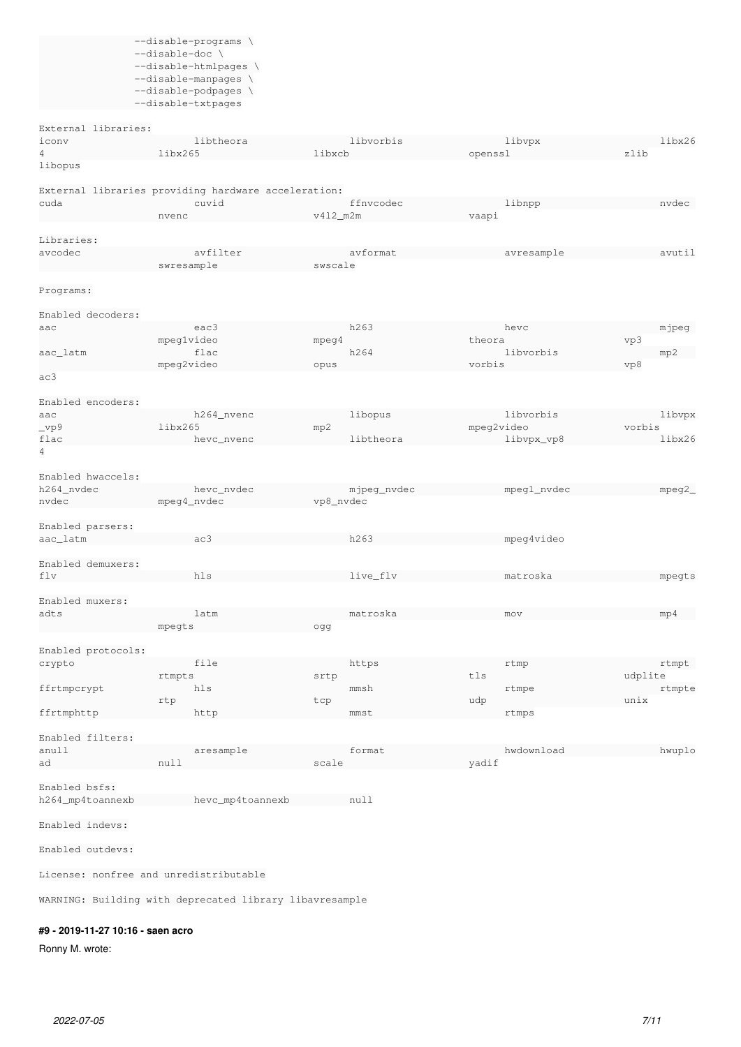| --disable-programs  |
|---------------------|
| --disable-doc       |
| --disable-htmlpages |
| --disable-manpages  |
| --disable-podpages  |
| --disable-txtpages  |

External libraries:<br>iconv 4 libx265 libxcb openssl zlib

libopus

|                   | External libraries providing hardware acceleration: |             |             |              |
|-------------------|-----------------------------------------------------|-------------|-------------|--------------|
| cuda              | cuvid                                               | ffnycodec   | libnpp      | nydec        |
|                   | nvenc                                               | $v412$ m2m  | vaapi       |              |
|                   |                                                     |             |             |              |
| Libraries:        |                                                     |             |             |              |
| avcodec           | avfilter                                            | avformat    | avresample  | avutil       |
|                   | swresample                                          | swscale     |             |              |
|                   |                                                     |             |             |              |
| Programs:         |                                                     |             |             |              |
|                   |                                                     |             |             |              |
| Enabled decoders: |                                                     |             |             |              |
| aac               | eac3                                                | h263        | hevc        | mjpeg        |
|                   | mpeglvideo                                          | mpeq4       | theora      | vp3          |
| aac_latm          | flac                                                | h264        | libyorbis   | mp2          |
|                   | mpeg2video                                          | opus        | vorbis      | vp8          |
| ac3               |                                                     |             |             |              |
|                   |                                                     |             |             |              |
| Enabled encoders: |                                                     |             |             |              |
| aac               | h264 nvenc                                          | libopus     | libyorbis   | libvpx       |
| $_{\rm vpg}$      | libx265                                             | mp2         | mpeg2video  | vorbis       |
| flac              | hevc nvenc                                          | libtheora   | libvpx_vp8  | $1$ ibx $26$ |
| 4                 |                                                     |             |             |              |
|                   |                                                     |             |             |              |
| Enabled hwaccels: |                                                     |             |             |              |
| h264 nvdec        | hevc nvdec                                          | mjpeq_nvdec | mpeg1_nvdec | mpeq2        |
| nydec             | mpeg4_nvdec                                         | vp8_nvdec   |             |              |
|                   |                                                     |             |             |              |

iconv libtheora libvorbis libvpx libx26

Enabled parsers: aac\_latm ac3 h263 mpeg4video Enabled demuxers: flv hls hls live\_flv matroska mpegts Enabled muxers:

| adts               | latm   | matroska | mov | mp4 |
|--------------------|--------|----------|-----|-----|
|                    | mpegts | oaa      |     |     |
|                    |        |          |     |     |
| Frabled protocols: |        |          |     |     |

| FIIADTEA DIOCOCOIS: |        |       |       |         |
|---------------------|--------|-------|-------|---------|
| crypto              | file   | https | rtmp  | rtmpt   |
|                     | rtmpts | srtp  | tls   | udplite |
| ffrtmpcrypt         | hls    | mmsh  | rtmpe | rtmpte  |
|                     | rtp    | tcp   | udp   | unix    |
| ffrtmphttp          | http   | mmst  | rtmps |         |
|                     |        |       |       |         |
| Enabled filters:    |        |       |       |         |

| - THARTCA TITLES. |           |        |            |        |
|-------------------|-----------|--------|------------|--------|
| anull             | aresample | format | hwdownload | hwuplo |
| ad                | null      | scale  | vadit      |        |
|                   |           |        |            |        |

h264\_mp4toannexb hevc\_mp4toannexb null

Enabled indevs:

Enabled bsfs:

Enabled outdevs:

License: nonfree and unredistributable

WARNING: Building with deprecated library libavresample

# **#9 - 2019-11-27 10:16 - saen acro**

Ronny M. wrote: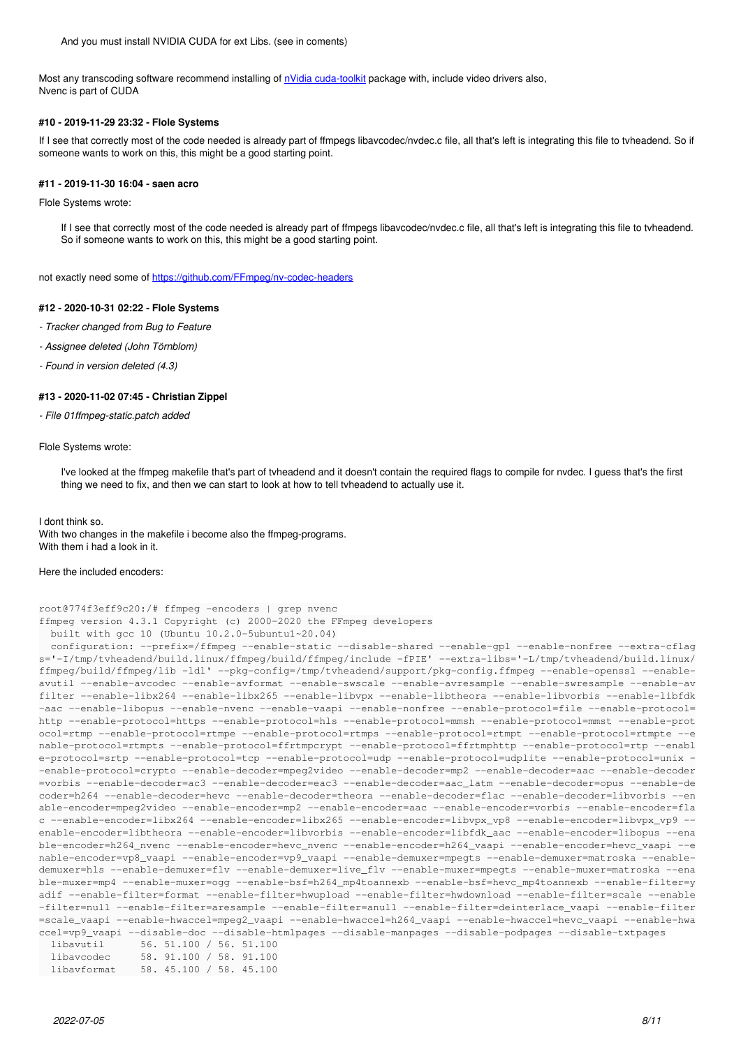Most any transcoding software recommend installing of [nVidia cuda-toolkit](https://developer.nvidia.com/cuda-downloads) package with, include video drivers also, Nvenc is part of CUDA

### **#10 - 2019-11-29 23:32 - Flole Systems**

If I see that correctly most of the code needed is already part of ffmpegs libavcodec/nvdec.c file, all that's left is integrating this file to tvheadend. So if someone wants to work on this, this might be a good starting point.

#### **#11 - 2019-11-30 16:04 - saen acro**

Flole Systems wrote:

If I see that correctly most of the code needed is already part of ffmpegs libavcodec/nvdec.c file, all that's left is integrating this file to tvheadend. So if someone wants to work on this, this might be a good starting point.

not exactly need some of<https://github.com/FFmpeg/nv-codec-headers>

# **#12 - 2020-10-31 02:22 - Flole Systems**

- *Tracker changed from Bug to Feature*
- *Assignee deleted (John Törnblom)*
- *Found in version deleted (4.3)*

#### **#13 - 2020-11-02 07:45 - Christian Zippel**

*- File 01ffmpeg-static.patch added*

#### Flole Systems wrote:

I've looked at the ffmpeg makefile that's part of tvheadend and it doesn't contain the required flags to compile for nvdec. I guess that's the first thing we need to fix, and then we can start to look at how to tell tvheadend to actually use it.

#### I dont think so.

With two changes in the makefile i become also the ffmpeg-programs. With them i had a look in it.

#### Here the included encoders:

```
root@774f3eff9c20:/# ffmpeg -encoders | grep nvenc
ffmpeg version 4.3.1 Copyright (c) 2000-2020 the FFmpeg developers
```

```
  built with gcc 10 (Ubuntu 10.2.0-5ubuntu1~20.04)
   configuration: --prefix=/ffmpeg --enable-static --disable-shared --enable-gpl --enable-nonfree --extra-cflag
s='-I/tmp/tvheadend/build.linux/ffmpeg/build/ffmpeg/include -fPIE' --extra-libs='-L/tmp/tvheadend/build.linux/
ffmpeg/build/ffmpeg/lib -ldl' --pkg-config=/tmp/tvheadend/support/pkg-config.ffmpeg --enable-openssl --enable-
avutil --enable-avcodec --enable-avformat --enable-swscale --enable-avresample --enable-swresample --enable-av
filter --enable-libx264 --enable-libx265 --enable-libvpx --enable-libtheora --enable-libvorbis --enable-libfdk
-aac --enable-libopus --enable-nvenc --enable-vaapi --enable-nonfree --enable-protocol=file --enable-protocol=
http --enable-protocol=https --enable-protocol=hls --enable-protocol=mmsh --enable-protocol=mmst --enable-prot
ocol=rtmp --enable-protocol=rtmpe --enable-protocol=rtmps --enable-protocol=rtmpt --enable-protocol=rtmpte --e
nable-protocol=rtmpts --enable-protocol=ffrtmpcrypt --enable-protocol=ffrtmphttp --enable-protocol=rtp --enabl
e-protocol=srtp --enable-protocol=tcp --enable-protocol=udp --enable-protocol=udplite --enable-protocol=unix -
-enable-protocol=crypto --enable-decoder=mpeg2video --enable-decoder=mp2 --enable-decoder=aac --enable-decoder
=vorbis --enable-decoder=ac3 --enable-decoder=eac3 --enable-decoder=aac_latm --enable-decoder=opus --enable-de
coder=h264 --enable-decoder=hevc --enable-decoder=theora --enable-decoder=flac --enable-decoder=libvorbis --en
able-encoder=mpeg2video --enable-encoder=mp2 --enable-encoder=aac --enable-encoder=vorbis --enable-encoder=fla
c --enable-encoder=libx264 --enable-encoder=libx265 --enable-encoder=libvpx_vp8 --enable-encoder=libvpx_vp9 --
enable-encoder=libtheora --enable-encoder=libvorbis --enable-encoder=libfdk_aac --enable-encoder=libopus --ena
ble-encoder=h264_nvenc --enable-encoder=hevc_nvenc --enable-encoder=h264_vaapi --enable-encoder=hevc_vaapi --e
nable-encoder=vp8_vaapi --enable-encoder=vp9_vaapi --enable-demuxer=mpegts --enable-demuxer=matroska --enable-
demuxer=hls --enable-demuxer=flv --enable-demuxer=live_flv --enable-muxer=mpegts --enable-muxer=matroska --ena
ble-muxer=mp4 --enable-muxer=ogg --enable-bsf=h264_mp4toannexb --enable-bsf=hevc_mp4toannexb --enable-filter=y
adif --enable-filter=format --enable-filter=hwupload --enable-filter=hwdownload --enable-filter=scale --enable
-filter=null --enable-filter=aresample --enable-filter=anull --enable-filter=deinterlace_vaapi --enable-filter
=scale_vaapi --enable-hwaccel=mpeg2_vaapi --enable-hwaccel=h264_vaapi --enable-hwaccel=hevc_vaapi --enable-hwa
ccel=vp9_vaapi --disable-doc --disable-htmlpages --disable-manpages --disable-podpages --disable-txtpages
    libavutil      56. 51.100 / 56. 51.100
    libavcodec     58. 91.100 / 58. 91.100
```

```
2022-07-05 8/11
```
libavformat 58. 45.100 / 58. 45.100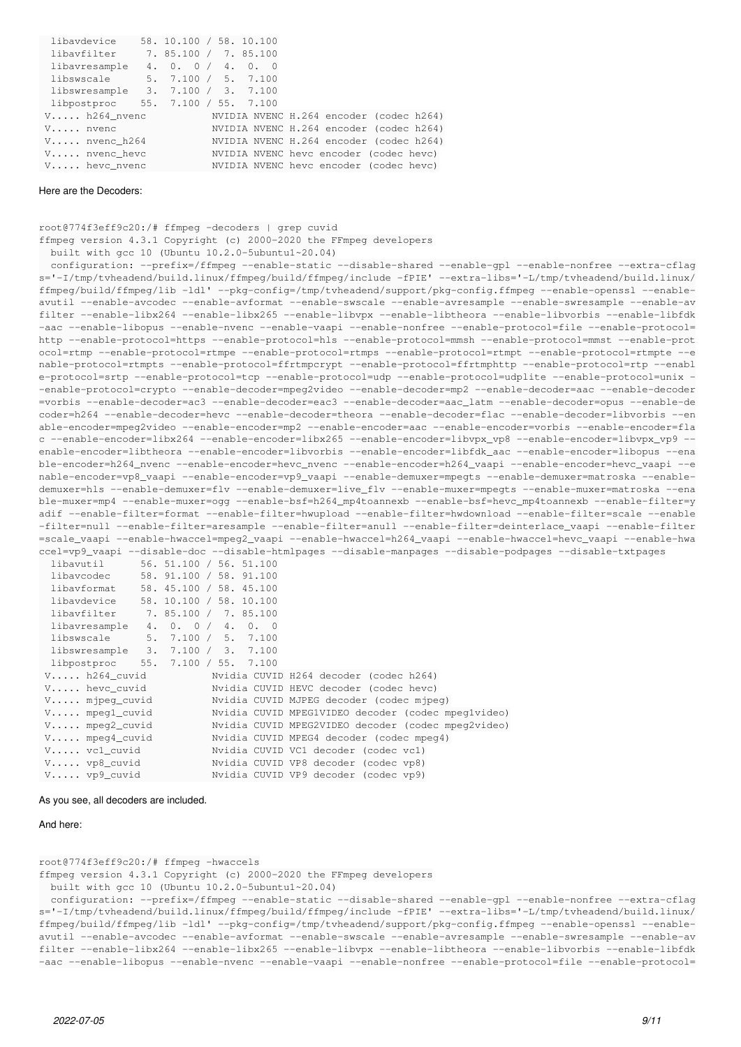| libavdevice                       | 58. 10.100 / 58. 10.100 |  |  |                                         |  |
|-----------------------------------|-------------------------|--|--|-----------------------------------------|--|
| libayfilter 7.85.100 / 7.85.100   |                         |  |  |                                         |  |
| libavresample $4. 0. 0 / 4. 0. 0$ |                         |  |  |                                         |  |
| libswscale                        | 5. 7.100 / 5. 7.100     |  |  |                                         |  |
| libswresample 3. 7.100 / 3. 7.100 |                         |  |  |                                         |  |
| libpostproc 55. 7.100 / 55. 7.100 |                         |  |  |                                         |  |
| $V \ldots$ . h264 nvenc           |                         |  |  | NVIDIA NVENC H.264 encoder (codec h264) |  |
| $V \ldots$ nvenc                  |                         |  |  | NVIDIA NVENC H.264 encoder (codec h264) |  |
| $V \ldots$ nvenc h264             |                         |  |  | NVIDIA NVENC H.264 encoder (codec h264) |  |
| $V \ldots$ nvenc_hevc             |                         |  |  | NVIDIA NVENC hevc encoder (codec hevc)  |  |
| $V \ldots$ hevc_nvenc             |                         |  |  | NVIDIA NVENC heve encoder (codec heve)  |  |

#### Here are the Decoders:

root@774f3eff9c20:/# ffmpeg -decoders | grep cuvid ffmpeg version 4.3.1 Copyright (c) 2000-2020 the FFmpeg developers built with gcc 10 (Ubuntu 10.2.0-5ubuntu1~20.04) configuration: --prefix=/ffmpeg --enable-static --disable-shared --enable-gpl --enable-nonfree --extra-cflag s='-I/tmp/tvheadend/build.linux/ffmpeg/build/ffmpeg/include -fPIE' --extra-libs='-L/tmp/tvheadend/build.linux/ ffmpeg/build/ffmpeg/lib -ldl' --pkg-config=/tmp/tvheadend/support/pkg-config.ffmpeg --enable-openssl --enableavutil --enable-avcodec --enable-avformat --enable-swscale --enable-avresample --enable-swresample --enable-av filter --enable-libx264 --enable-libx265 --enable-libvpx --enable-libtheora --enable-libvorbis --enable-libfdk -aac --enable-libopus --enable-nvenc --enable-vaapi --enable-nonfree --enable-protocol=file --enable-protocol= http --enable-protocol=https --enable-protocol=hls --enable-protocol=mmsh --enable-protocol=mmst --enable-prot ocol=rtmp --enable-protocol=rtmpe --enable-protocol=rtmps --enable-protocol=rtmpt --enable-protocol=rtmpte --e nable-protocol=rtmpts --enable-protocol=ffrtmpcrypt --enable-protocol=ffrtmphttp --enable-protocol=rtp --enabl e-protocol=srtp --enable-protocol=tcp --enable-protocol=udp --enable-protocol=udplite --enable-protocol=unix - -enable-protocol=crypto --enable-decoder=mpeg2video --enable-decoder=mp2 --enable-decoder=aac --enable-decoder =vorbis --enable-decoder=ac3 --enable-decoder=eac3 --enable-decoder=aac\_latm --enable-decoder=opus --enable-de coder=h264 --enable-decoder=hevc --enable-decoder=theora --enable-decoder=flac --enable-decoder=libvorbis --en able-encoder=mpeg2video --enable-encoder=mp2 --enable-encoder=aac --enable-encoder=vorbis --enable-encoder=fla c --enable-encoder=libx264 --enable-encoder=libx265 --enable-encoder=libvpx\_vp8 --enable-encoder=libvpx\_vp9 - enable-encoder=libtheora --enable-encoder=libvorbis --enable-encoder=libfdk\_aac --enable-encoder=libopus --ena ble-encoder=h264\_nvenc --enable-encoder=hevc\_nvenc --enable-encoder=h264\_vaapi --enable-encoder=hevc\_vaapi --e nable-encoder=vp8\_vaapi --enable-encoder=vp9\_vaapi --enable-demuxer=mpegts --enable-demuxer=matroska --enabledemuxer=hls --enable-demuxer=flv --enable-demuxer=live\_flv --enable-muxer=mpegts --enable-muxer=matroska --ena ble-muxer=mp4 --enable-muxer=ogg --enable-bsf=h264\_mp4toannexb --enable-bsf=hevc\_mp4toannexb --enable-filter=y adif --enable-filter=format --enable-filter=hwupload --enable-filter=hwdownload --enable-filter=scale --enable -filter=null --enable-filter=aresample --enable-filter=anull --enable-filter=deinterlace\_vaapi --enable-filter =scale\_vaapi --enable-hwaccel=mpeg2\_vaapi --enable-hwaccel=h264\_vaapi --enable-hwaccel=hevc\_vaapi --enable-hwa ccel=vp9\_vaapi --disable-doc --disable-htmlpages --disable-manpages --disable-podpages --disable-txtpages libavutil 56. 51.100 / 56. 51.100 libavcodec 58. 91.100 / 58. 91.100 libavformat 58. 45.100 / 58. 45.100 libavdevice 58. 10.100 / 58. 10.100 libavfilter 7. 85.100 / 7. 85.100 libavresample 4. 0. 0 / 4. 0. 0 libswscale 5. 7.100 / 5. 7.100

|                          | libswresample 3. 7.100 / 3. 7.100                  |
|--------------------------|----------------------------------------------------|
|                          | libpostproc 55. 7.100 / 55. 7.100                  |
| $V$ h264 cuvid           | Nvidia CUVID H264 decoder (codec h264)             |
| $V$ hevc_cuvid           | Nvidia CUVID HEVC decoder (codec hevc)             |
| $V \ldots$ . mjpeq_cuvid | Nvidia CUVID MJPEG decoder (codec mjpeq)           |
| $V \ldots$ mpegl_cuvid   | Nvidia CUVID MPEG1VIDEO decoder (codec mpeg1video) |
| V mpeg2_cuvid            | Nvidia CUVID MPEG2VIDEO decoder (codec mpeq2video) |
| $V \ldots$ mpeq4_cuvid   | Nvidia CUVID MPEG4 decoder (codec mpeg4)           |
| V vc1_cuvid              | Nvidia CUVID VC1 decoder (codec vc1)               |
| V vp8_cuvid              | Nvidia CUVID VP8 decoder (codec vp8)               |
| V vp9_cuvid              | Nvidia CUVID VP9 decoder (codec vp9)               |

#### As you see, all decoders are included.

#### And here:

root@774f3eff9c20:/# ffmpeg -hwaccels

ffmpeg version 4.3.1 Copyright (c) 2000-2020 the FFmpeg developers

built with gcc 10 (Ubuntu 10.2.0-5ubuntu1~20.04)

```
  configuration: --prefix=/ffmpeg --enable-static --disable-shared --enable-gpl --enable-nonfree --extra-cflag
s='-I/tmp/tvheadend/build.linux/ffmpeg/build/ffmpeg/include -fPIE' --extra-libs='-L/tmp/tvheadend/build.linux/
ffmpeg/build/ffmpeg/lib -ldl' --pkg-config=/tmp/tvheadend/support/pkg-config.ffmpeg --enable-openssl --enable-
avutil --enable-avcodec --enable-avformat --enable-swscale --enable-avresample --enable-swresample --enable-av
filter --enable-libx264 --enable-libx265 --enable-libvpx --enable-libtheora --enable-libvorbis --enable-libfdk
-aac --enable-libopus --enable-nvenc --enable-vaapi --enable-nonfree --enable-protocol=file --enable-protocol=
```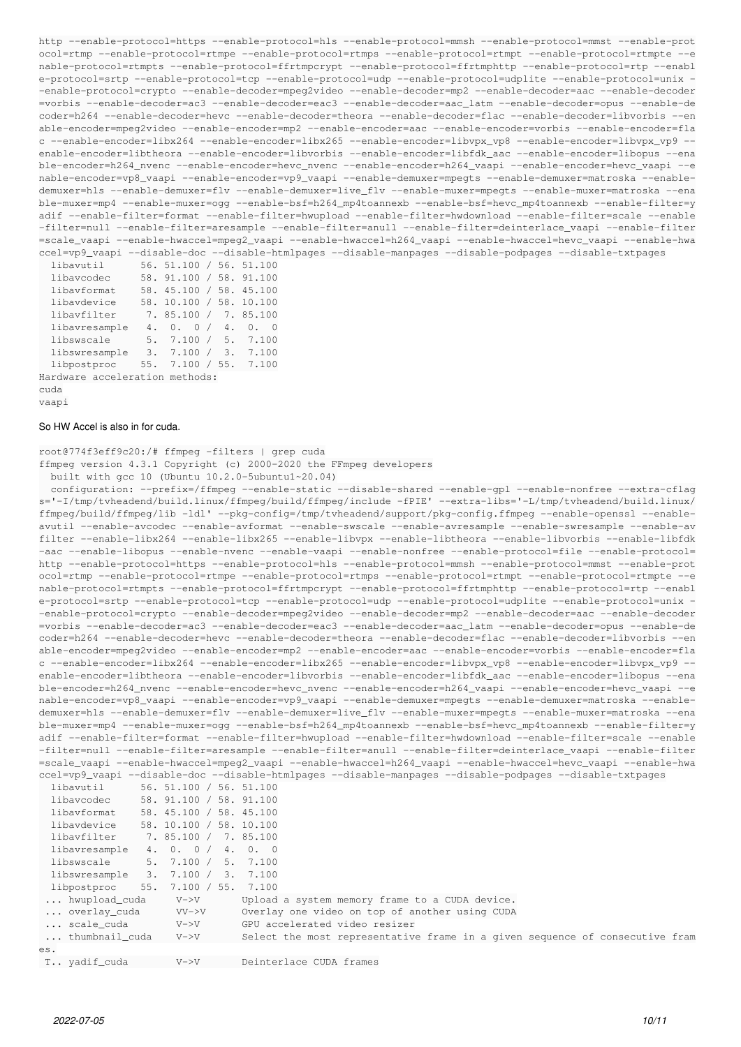http --enable-protocol=https --enable-protocol=hls --enable-protocol=mmsh --enable-protocol=mmst --enable-prot ocol=rtmp --enable-protocol=rtmpe --enable-protocol=rtmps --enable-protocol=rtmpt --enable-protocol=rtmpte --e nable-protocol=rtmpts --enable-protocol=ffrtmpcrypt --enable-protocol=ffrtmphttp --enable-protocol=rtp --enabl e-protocol=srtp --enable-protocol=tcp --enable-protocol=udp --enable-protocol=udplite --enable-protocol=unix - -enable-protocol=crypto --enable-decoder=mpeg2video --enable-decoder=mp2 --enable-decoder=aac --enable-decoder =vorbis --enable-decoder=ac3 --enable-decoder=eac3 --enable-decoder=aac\_latm --enable-decoder=opus --enable-de coder=h264 --enable-decoder=hevc --enable-decoder=theora --enable-decoder=flac --enable-decoder=libvorbis --en able-encoder=mpeg2video --enable-encoder=mp2 --enable-encoder=aac --enable-encoder=vorbis --enable-encoder=fla c --enable-encoder=libx264 --enable-encoder=libx265 --enable-encoder=libvpx\_vp8 --enable-encoder=libvpx\_vp9 - enable-encoder=libtheora --enable-encoder=libvorbis --enable-encoder=libfdk\_aac --enable-encoder=libopus --ena ble-encoder=h264\_nvenc --enable-encoder=hevc\_nvenc --enable-encoder=h264\_vaapi --enable-encoder=hevc\_vaapi --e nable-encoder=vp8\_vaapi --enable-encoder=vp9\_vaapi --enable-demuxer=mpegts --enable-demuxer=matroska --enabledemuxer=hls --enable-demuxer=flv --enable-demuxer=live\_flv --enable-muxer=mpegts --enable-muxer=matroska --ena ble-muxer=mp4 --enable-muxer=ogg --enable-bsf=h264\_mp4toannexb --enable-bsf=hevc\_mp4toannexb --enable-filter=y adif --enable-filter=format --enable-filter=hwupload --enable-filter=hwdownload --enable-filter=scale --enable -filter=null --enable-filter=aresample --enable-filter=anull --enable-filter=deinterlace\_vaapi --enable-filter =scale\_vaapi --enable-hwaccel=mpeg2\_vaapi --enable-hwaccel=h264\_vaapi --enable-hwaccel=hevc\_vaapi --enable-hwa ccel=vp9\_vaapi --disable-doc --disable-htmlpages --disable-manpages --disable-podpages --disable-txtpages

| libavutil     | 56. 51.100 / 56. 51.100 |  |          |
|---------------|-------------------------|--|----------|
| libavcodec    | 58. 91.100 / 58. 91.100 |  |          |
| libavformat   | 58. 45.100 / 58. 45.100 |  |          |
| libavdevice   | 58. 10.100 / 58. 10.100 |  |          |
| libavfilter   | 7. 85.100 / 7. 85.100   |  |          |
| libavresample | 4. 0. 0 / 4. 0. 0       |  |          |
| libswscale    | 5.7.100 / 5.7.100       |  |          |
| libswresample | 3.7.100/                |  | 3. 7.100 |
| libpostproc   | 55. 7.100 / 55. 7.100   |  |          |
|               |                         |  |          |

Hardware acceleration methods: cuda

vaapi

# So HW Accel is also in for cuda.

root@774f3eff9c20:/# ffmpeg -filters | grep cuda

ffmpeg version 4.3.1 Copyright (c) 2000-2020 the FFmpeg developers

built with gcc 10 (Ubuntu 10.2.0-5ubuntu1~20.04)

 configuration: --prefix=/ffmpeg --enable-static --disable-shared --enable-gpl --enable-nonfree --extra-cflag s='-I/tmp/tvheadend/build.linux/ffmpeg/build/ffmpeg/include -fPIE' --extra-libs='-L/tmp/tvheadend/build.linux/ ffmpeg/build/ffmpeg/lib -ldl' --pkg-config=/tmp/tvheadend/support/pkg-config.ffmpeg --enable-openssl --enableavutil --enable-avcodec --enable-avformat --enable-swscale --enable-avresample --enable-swresample --enable-av filter --enable-libx264 --enable-libx265 --enable-libvpx --enable-libtheora --enable-libvorbis --enable-libfdk -aac --enable-libopus --enable-nvenc --enable-vaapi --enable-nonfree --enable-protocol=file --enable-protocol= http --enable-protocol=https --enable-protocol=hls --enable-protocol=mmsh --enable-protocol=mmst --enable-prot ocol=rtmp --enable-protocol=rtmpe --enable-protocol=rtmps --enable-protocol=rtmpt --enable-protocol=rtmpte --e nable-protocol=rtmpts --enable-protocol=ffrtmpcrypt --enable-protocol=ffrtmphttp --enable-protocol=rtp --enabl e-protocol=srtp --enable-protocol=tcp --enable-protocol=udp --enable-protocol=udplite --enable-protocol=unix - -enable-protocol=crypto --enable-decoder=mpeg2video --enable-decoder=mp2 --enable-decoder=aac --enable-decoder =vorbis --enable-decoder=ac3 --enable-decoder=eac3 --enable-decoder=aac\_latm --enable-decoder=opus --enable-de coder=h264 --enable-decoder=hevc --enable-decoder=theora --enable-decoder=flac --enable-decoder=libvorbis --en able-encoder=mpeg2video --enable-encoder=mp2 --enable-encoder=aac --enable-encoder=vorbis --enable-encoder=fla c --enable-encoder=libx264 --enable-encoder=libx265 --enable-encoder=libvpx\_vp8 --enable-encoder=libvpx\_vp9 - enable-encoder=libtheora --enable-encoder=libvorbis --enable-encoder=libfdk\_aac --enable-encoder=libopus --ena ble-encoder=h264\_nvenc --enable-encoder=hevc\_nvenc --enable-encoder=h264\_vaapi --enable-encoder=hevc\_vaapi --e nable-encoder=vp8\_vaapi --enable-encoder=vp9\_vaapi --enable-demuxer=mpegts --enable-demuxer=matroska --enabledemuxer=hls --enable-demuxer=flv --enable-demuxer=live\_flv --enable-muxer=mpegts --enable-muxer=matroska --ena ble-muxer=mp4 --enable-muxer=ogg --enable-bsf=h264\_mp4toannexb --enable-bsf=hevc\_mp4toannexb --enable-filter=y adif --enable-filter=format --enable-filter=hwupload --enable-filter=hwdownload --enable-filter=scale --enable -filter=null --enable-filter=aresample --enable-filter=anull --enable-filter=deinterlace\_vaapi --enable-filter =scale\_vaapi --enable-hwaccel=mpeg2\_vaapi --enable-hwaccel=h264\_vaapi --enable-hwaccel=hevc\_vaapi --enable-hwa ccel=vp9\_vaapi --disable-doc --disable-htmlpages --disable-manpages --disable-podpages --disable-txtpages

| libavutil      |     | 56. 51.100 / 56. 51.100 |  |          |                                                                              |  |
|----------------|-----|-------------------------|--|----------|------------------------------------------------------------------------------|--|
| libavcodec     |     | 58. 91.100 / 58. 91.100 |  |          |                                                                              |  |
| libavformat    |     | 58. 45.100 / 58. 45.100 |  |          |                                                                              |  |
| libavdevice    |     | 58. 10.100 / 58. 10.100 |  |          |                                                                              |  |
| libavfilter    |     | 7. 85.100 / 7. 85.100   |  |          |                                                                              |  |
| libavresample  |     | 4. 0. 0 / 4. 0. 0       |  |          |                                                                              |  |
| libswscale     |     | 5.7.100/                |  | 5. 7.100 |                                                                              |  |
| libswresample  |     | 3.7.100 / 3.7.100       |  |          |                                                                              |  |
| libpostproc    | 55. | 7.100 / 55.             |  | 7.100    |                                                                              |  |
| hwupload_cuda  |     | $V->V$                  |  |          | Upload a system memory frame to a CUDA device.                               |  |
| overlay cuda   |     | $VV->V$                 |  |          | Overlay one video on top of another using CUDA                               |  |
| scale cuda     |     | $V->V$                  |  |          | GPU accelerated video resizer                                                |  |
| thumbnail cuda |     | $V->V$                  |  |          | Select the most representative frame in a given sequence of consecutive fram |  |
| es.            |     |                         |  |          |                                                                              |  |
| T vadif cuda   |     | $V->V$                  |  |          | Deinterlace CUDA frames                                                      |  |